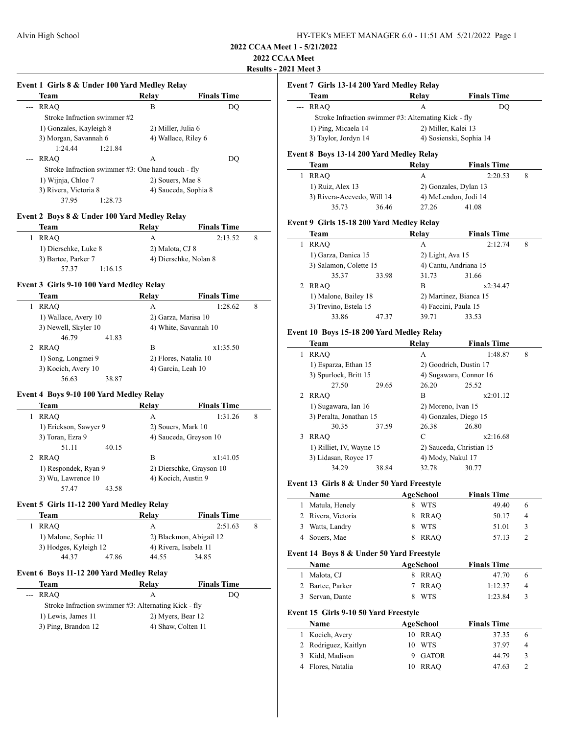# **2022 CCAA Meet**

**Results - 2021 Meet 3**

| Team                                               | Relay               | <b>Finals Time</b>   |
|----------------------------------------------------|---------------------|----------------------|
| <b>RRAO</b>                                        | в                   | DO.                  |
| Stroke Infraction swimmer #2                       |                     |                      |
| 1) Gonzales, Kayleigh 8                            | 2) Miller, Julia 6  |                      |
| 3) Morgan, Savannah 6                              | 4) Wallace, Riley 6 |                      |
| 1:24.44<br>1:21.84                                 |                     |                      |
| RRAO                                               | A                   | DO                   |
| Stroke Infraction swimmer #3: One hand touch - fly |                     |                      |
| 1) Wijnja, Chloe 7                                 | 2) Souers, Mae 8    |                      |
| 3) Rivera, Victoria 8                              |                     | 4) Sauceda, Sophia 8 |
| 37.95<br>1:28.73                                   |                     |                      |
|                                                    |                     |                      |

**Event 1 Girls 8 & Under 100 Yard Medley Relay**

### **Event 2 Boys 8 & Under 100 Yard Medley Relay**

| Team                 | Relay           | <b>Finals Time</b>    |  |
|----------------------|-----------------|-----------------------|--|
| RRAO                 | А               | 2:13.52               |  |
| 1) Dierschke, Luke 8 | 2) Malota, CJ 8 |                       |  |
| 3) Bartee, Parker 7  |                 | 4) Dierschke, Nolan 8 |  |
| 57.37<br>1:16.15     |                 |                       |  |

### **Event 3 Girls 9-10 100 Yard Medley Relay**

| Team                 | Relay              | <b>Finals Time</b>    |   |
|----------------------|--------------------|-----------------------|---|
| <b>RRAO</b>          | А                  | 1:28.62               | 8 |
| 1) Wallace, Avery 10 |                    | 2) Garza, Marisa 10   |   |
| 3) Newell, Skyler 10 |                    | 4) White, Savannah 10 |   |
| 46.79<br>41.83       |                    |                       |   |
| 2 RRAO               | в                  | x1:35.50              |   |
| 1) Song, Longmei 9   |                    | 2) Flores, Natalia 10 |   |
| 3) Kocich, Avery 10  | 4) Garcia, Leah 10 |                       |   |
| 56.63<br>38.87       |                    |                       |   |

#### **Event 4 Boys 9-10 100 Yard Medley Relay**

| <b>Team</b>           | Relay | <b>Finals Time</b>       |  |
|-----------------------|-------|--------------------------|--|
| <b>RRAO</b>           | A     | 1:31.26<br>8             |  |
| 1) Erickson, Sawyer 9 |       | 2) Souers, Mark 10       |  |
| 3) Toran, Ezra 9      |       | 4) Sauceda, Greyson 10   |  |
| 51.11<br>40.15        |       |                          |  |
| RRAO                  | в     | x1:41.05                 |  |
| 1) Respondek, Ryan 9  |       | 2) Dierschke, Grayson 10 |  |
| 3) Wu, Lawrence 10    |       | 4) Kocich, Austin 9      |  |
| 57.47<br>43.58        |       |                          |  |

### **Event 5 Girls 11-12 200 Yard Medley Relay**

| Team                  |       | Relav                 | <b>Finals Time</b>      |  |
|-----------------------|-------|-----------------------|-------------------------|--|
| RRAO                  |       | А                     | 2:51.63                 |  |
| 1) Malone, Sophie 11  |       |                       | 2) Blackmon, Abigail 12 |  |
| 3) Hodges, Kyleigh 12 |       | 4) Rivera, Isabela 11 |                         |  |
| 44.37                 | 47.86 | 44.55                 | 34.85                   |  |

#### **Event 6 Boys 11-12 200 Yard Medley Relay**

| Team                                                 | Relav              | <b>Finals Time</b> |
|------------------------------------------------------|--------------------|--------------------|
| --- RRAO                                             | А                  | DO                 |
| Stroke Infraction swimmer #3: Alternating Kick - fly |                    |                    |
| 1) Lewis, James 11                                   | 2) Myers, Bear 12  |                    |
| 3) Ping, Brandon 12                                  | 4) Shaw, Colten 11 |                    |

# **Event 7 Girls 13-14 200 Yard Medley Relay**

| Team                 | Relav                                                | <b>Finals Time</b> |
|----------------------|------------------------------------------------------|--------------------|
| --- RRAO             | А                                                    | DO.                |
|                      | Stroke Infraction swimmer #3: Alternating Kick - fly |                    |
| 1) Ping, Micaela 14  | 2) Miller, Kalei 13                                  |                    |
| 3) Taylor, Jordyn 14 | 4) Sosienski, Sophia 14                              |                    |
|                      |                                                      |                    |

# **Event 8 Boys 13-14 200 Yard Medley Relay**

| Team                       |       | Relav | <b>Finals Time</b>    |  |
|----------------------------|-------|-------|-----------------------|--|
| RRAO                       |       | А     | 2:20.53               |  |
| $1)$ Ruiz, Alex 13         |       |       | 2) Gonzales, Dylan 13 |  |
| 3) Rivera-Acevedo, Will 14 |       |       | 4) McLendon, Jodi 14  |  |
| 35.73                      | 36.46 | 27.26 | 41.08                 |  |

#### **Event 9 Girls 15-18 200 Yard Medley Relay**

| Team                   |       | Relay                | <b>Finals Time</b>     |   |
|------------------------|-------|----------------------|------------------------|---|
| <b>RRAO</b>            |       | A                    | 2:12.74                | 8 |
| 1) Garza, Danica 15    |       | $2)$ Light, Ava 15   |                        |   |
| 3) Salamon, Colette 15 |       |                      | 4) Cantu, Andriana 15  |   |
| 35.37                  | 33.98 | 31.73                | 31.66                  |   |
| RRAO                   |       | R                    | x2:34.47               |   |
| 1) Malone, Bailey 18   |       |                      | 2) Martinez, Bianca 15 |   |
| 3) Trevino, Estela 15  |       | 4) Faccini, Paula 15 |                        |   |
| 33.86                  | 47.37 | 39.71                | 33.53                  |   |

### **Event 10 Boys 15-18 200 Yard Medley Relay**

|   | Team                     |       | Relav              | <b>Finals Time</b>       |   |
|---|--------------------------|-------|--------------------|--------------------------|---|
| 1 | <b>RRAO</b>              |       | A                  | 1:48.87                  | 8 |
|   | 1) Esparza, Ethan 15     |       |                    | 2) Goodrich, Dustin 17   |   |
|   | 3) Spurlock, Britt 15    |       |                    | 4) Sugawara, Connor 16   |   |
|   | 27.50                    | 29.65 | 26.20              | 25.52                    |   |
| 2 | RRAO                     |       | B                  | x2:01.12                 |   |
|   | 1) Sugawara, Ian 16      |       | 2) Moreno, Ivan 15 |                          |   |
|   | 3) Peralta, Jonathan 15  |       |                    | 4) Gonzales, Diego 15    |   |
|   | 30.35                    | 37.59 | 26.38              | 26.80                    |   |
| 3 | RRAO                     |       | C                  | x2:16.68                 |   |
|   | 1) Rilliet, IV, Wayne 15 |       |                    | 2) Sauceda, Christian 15 |   |
|   | 3) Lidasan, Royce 17     |       | 4) Mody, Nakul 17  |                          |   |
|   | 34.29                    | 38.84 | 32.78              | 30.77                    |   |

#### **Event 13 Girls 8 & Under 50 Yard Freestyle**

|                | Name                                      |    | <b>AgeSchool</b> | <b>Finals Time</b> |                |
|----------------|-------------------------------------------|----|------------------|--------------------|----------------|
| 1              | Matula, Henely                            | 8  | <b>WTS</b>       | 49.40              | 6              |
| $\mathfrak{D}$ | Rivera, Victoria                          | 8  | <b>RRAO</b>      | 50.17              | 4              |
| 3              | Watts, Landry                             | 8  | <b>WTS</b>       | 51.01              | 3              |
| 4              | Souers, Mae                               | 8  | <b>RRAO</b>      | 57.13              | $\overline{c}$ |
|                | Event 14 Boys 8 & Under 50 Yard Freestyle |    |                  |                    |                |
|                | Name                                      |    | AgeSchool        | <b>Finals Time</b> |                |
| 1              | Malota, CJ                                | 8  | <b>RRAO</b>      | 47.70              | 6              |
| 2              | Bartee, Parker                            | 7  | <b>RRAO</b>      | 1:12.37            | 4              |
| 3              | Servan, Dante                             | 8  | <b>WTS</b>       | 1:23.84            | 3              |
|                | Event 15 Girls 9-10 50 Yard Freestyle     |    |                  |                    |                |
|                | Name                                      |    | AgeSchool        | <b>Finals Time</b> |                |
| 1              | Kocich, Avery                             | 10 | <b>RRAO</b>      | 37.35              | 6              |
| 2              | Rodriguez, Kaitlyn                        | 10 | <b>WTS</b>       | 37.97              | 4              |
| 3              | Kidd, Madison                             | 9  | <b>GATOR</b>     | 44.79              | 3              |
| 4              | Flores, Natalia                           | 10 | <b>RRAO</b>      | 47.63              | 2              |
|                |                                           |    |                  |                    |                |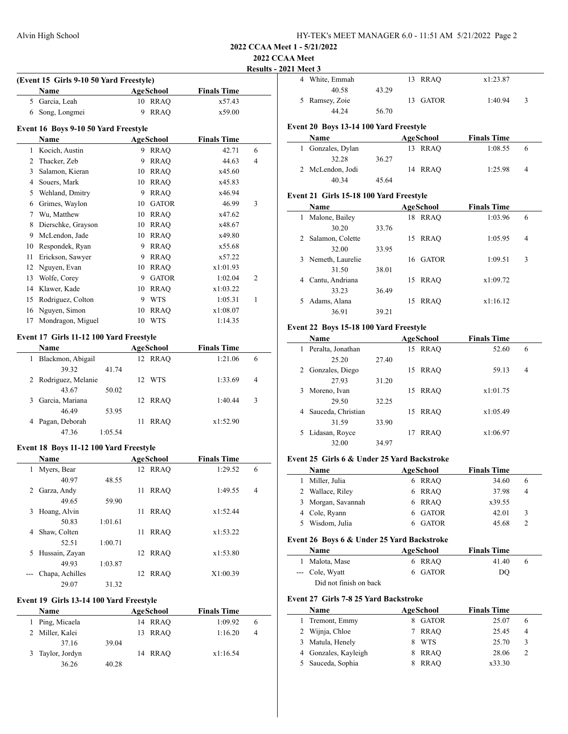# **2022 CCAA Meet**

 $\overline{a}$ 

 $\overline{\phantom{a}}$ 

# **Results - 2021 Meet 3**

|              |                                         |         |    |             |                    | <u>Kesults</u> |
|--------------|-----------------------------------------|---------|----|-------------|--------------------|----------------|
|              | (Event 15 Girls 9-10 50 Yard Freestyle) |         |    |             | <b>Finals Time</b> |                |
|              | Name                                    |         |    | AgeSchool   |                    |                |
|              | 5 Garcia, Leah                          |         |    | 10 RRAQ     | x57.43             |                |
|              | 6 Song, Longmei                         |         | 9  | <b>RRAO</b> | x59.00             |                |
|              | Event 16 Boys 9-10 50 Yard Freestyle    |         |    |             |                    |                |
|              | <b>Name</b>                             |         |    | AgeSchool   | <b>Finals Time</b> |                |
| 1            | Kocich, Austin                          |         |    | 9 RRAO      | 42.71              | 6              |
| 2            | Thacker, Zeb                            |         | 9  | <b>RRAQ</b> | 44.63              | $\overline{4}$ |
| $\mathbf{3}$ | Salamon, Kieran                         |         |    | 10 RRAQ     | x45.60             |                |
|              | 4 Souers, Mark                          |         |    | 10 RRAQ     | x45.83             |                |
| 5            | Wehland, Dmitry                         |         |    | 9 RRAQ      | x46.94             |                |
|              | 6 Grimes, Waylon                        |         |    | 10 GATOR    | 46.99              | 3              |
|              | 7 Wu, Matthew                           |         |    | 10 RRAO     | x47.62             |                |
| 8            | Dierschke, Grayson                      |         |    | 10 RRAQ     | x48.67             |                |
|              | 9 McLendon, Jade                        |         |    | 10 RRAQ     | x49.80             |                |
|              | 10 Respondek, Ryan                      |         |    | 9 RRAQ      | x55.68             |                |
| 11           | Erickson, Sawyer                        |         |    | 9 RRAQ      | x57.22             |                |
|              | 12 Nguyen, Evan                         |         |    | 10 RRAQ     | x1:01.93           |                |
|              | 13 Wolfe, Corey                         |         |    | 9 GATOR     | 1:02.04            | 2              |
|              | 14 Klawer, Kade                         |         |    | 10 RRAO     | x1:03.22           |                |
|              | 15 Rodriguez, Colton                    |         |    | 9 WTS       | 1:05.31            | 1              |
|              | 16 Nguyen, Simon                        |         |    | 10 RRAQ     | x1:08.07           |                |
| 17           | Mondragon, Miguel                       |         |    | 10 WTS      | 1:14.35            |                |
|              | Event 17 Girls 11-12 100 Yard Freestyle |         |    |             |                    |                |
|              | Name                                    |         |    | AgeSchool   | <b>Finals Time</b> |                |
| $\mathbf{1}$ | Blackmon, Abigail                       |         |    | 12 RRAQ     | 1:21.06            | 6              |
|              | 39.32                                   | 41.74   |    |             |                    |                |
| 2            | Rodriguez, Melanie                      |         |    | 12 WTS      | 1:33.69            | 4              |
|              | 43.67                                   | 50.02   |    |             |                    |                |
| 3            | Garcia, Mariana                         |         | 12 | <b>RRAO</b> | 1:40.44            | 3              |
|              | 46.49                                   | 53.95   |    |             |                    |                |
| 4            | Pagan, Deborah                          |         | 11 | <b>RRAQ</b> | x1:52.90           |                |
|              | 47.36                                   | 1:05.54 |    |             |                    |                |
|              |                                         |         |    |             |                    |                |
|              | Event 18 Boys 11-12 100 Yard Freestyle  |         |    |             |                    |                |
|              | Name                                    |         |    | AgeSchool   | <b>Finals Time</b> |                |
| 1            | Myers, Bear                             |         |    | 12 RRAQ     | 1:29.52            | 6              |
|              | 40.97                                   | 48.55   |    |             |                    |                |
| 2            | Garza, Andy                             |         | 11 | <b>RRAQ</b> | 1:49.55            | 4              |
|              | 49.65                                   | 59.90   |    |             |                    |                |
| 3            | Hoang, Alvin<br>50.83                   | 1:01.61 | 11 | <b>RRAQ</b> | x1:52.44           |                |
| 4            |                                         |         | 11 |             |                    |                |
|              | Shaw, Colten                            |         |    | <b>RRAQ</b> | x1:53.22           |                |
|              | 52.51                                   | 1:00.71 |    |             |                    |                |

| 4 White, Emmah |       | 13 RRAO  | x1:23.87 |   |
|----------------|-------|----------|----------|---|
| 40.58          | 43.29 |          |          |   |
| 5 Ramsey, Zoie |       | 13 GATOR | 1:40.94  | 3 |
| 44.24          | 56.70 |          |          |   |
|                |       |          |          |   |

# **Event 20 Boys 13-14 100 Yard Freestyle**

| <b>Name</b>       |       | AgeSchool | <b>Finals Time</b> |          |
|-------------------|-------|-----------|--------------------|----------|
| 1 Gonzales, Dylan |       | 13 RRAO   | 1:08.55            | $\theta$ |
| 32.28             | 36.27 |           |                    |          |
| 2 McLendon, Jodi  |       | 14 RRAO   | 1:25.98            | 4        |
| 40.34             | 45.64 |           |                    |          |

### **Event 21 Girls 15-18 100 Yard Freestyle**

|    | <b>Name</b>      |       |    | AgeSchool   | <b>Finals Time</b> |                |
|----|------------------|-------|----|-------------|--------------------|----------------|
|    | Malone, Bailey   |       | 18 | <b>RRAO</b> | 1:03.96            | 6              |
|    | 30.20            | 33.76 |    |             |                    |                |
| 2  | Salamon, Colette |       | 15 | <b>RRAO</b> | 1:05.95            | $\overline{4}$ |
|    | 32.00            | 33.95 |    |             |                    |                |
| 3. | Nemeth, Laurelie |       | 16 | GATOR       | 1:09.51            | 3              |
|    | 31.50            | 38.01 |    |             |                    |                |
| 4  | Cantu, Andriana  |       | 15 | <b>RRAO</b> | x1:09.72           |                |
|    | 33.23            | 36.49 |    |             |                    |                |
| 5. | Adams, Alana     |       | 15 | RRAO        | x1:16.12           |                |
|    | 36.91            | 39.21 |    |             |                    |                |

### **Event 22 Boys 15-18 100 Yard Freestyle**

|    | Name               |       | AgeSchool         | <b>Finals Time</b> |   |
|----|--------------------|-------|-------------------|--------------------|---|
|    | Peralta, Jonathan  |       | <b>RRAO</b><br>15 | 52.60              | 6 |
|    | 25.20              | 27.40 |                   |                    |   |
| 2  | Gonzales, Diego    |       | RRAO<br>15        | 59.13              | 4 |
|    | 27.93              | 31.20 |                   |                    |   |
| 3  | Moreno, Ivan       |       | <b>RRAO</b><br>15 | x1:01.75           |   |
|    | 29.50              | 32.25 |                   |                    |   |
| 4  | Sauceda, Christian |       | <b>RRAO</b><br>15 | x1:05.49           |   |
|    | 31.59              | 33.90 |                   |                    |   |
| 5. | Lidasan, Royce     |       | <b>RRAO</b><br>17 | x1:06.97           |   |
|    | 32.00              | 34.97 |                   |                    |   |

# **Event 25 Girls 6 & Under 25 Yard Backstroke**

| <b>Name</b>        | AgeSchool | <b>Finals Time</b> |   |
|--------------------|-----------|--------------------|---|
| Miller, Julia<br>L | 6 RRAO    | 34.60              | 6 |
| 2 Wallace, Riley   | 6 RRAO    | 37.98              | 4 |
| 3 Morgan, Savannah | 6 RRAO    | x39.55             |   |
| 4 Cole, Ryann      | 6 GATOR   | 42.01              | 3 |
| 5 Wisdom, Julia    | 6 GATOR   | 45.68              |   |
|                    |           |                    |   |

# **Event 26 Boys 6 & Under 25 Yard Backstroke**

| Name                   | AgeSchool | <b>Finals Time</b> |
|------------------------|-----------|--------------------|
| 1 Malota, Mase         | 6 RRAO    | 41.40<br>$\theta$  |
| --- Cole, Wyatt        | 6 GATOR   | DO                 |
| Did not finish on back |           |                    |

# **Event 27 Girls 7-8 25 Yard Backstroke**

| <b>Name</b> |                      |   | AgeSchool    | <b>Finals Time</b> |        |                |
|-------------|----------------------|---|--------------|--------------------|--------|----------------|
|             | 1 Tremont, Emmy      | 8 | <b>GATOR</b> |                    | 25.07  | 6              |
|             | 2 Wijnja, Chloe      |   | RRAO         |                    | 25.45  | $\overline{4}$ |
|             | 3 Matula, Henely     | 8 | <b>WTS</b>   |                    | 25.70  | 3              |
|             | 4 Gonzales, Kayleigh | 8 | <b>RRAO</b>  |                    | 28.06  | 2              |
|             | 5 Sauceda, Sophia    |   | <b>RRAO</b>  |                    | x33.30 |                |

# **Event 19 Girls 13-14 100 Yard Freestyle**

49.93 1:03.87

29.07 31.32

| <b>Name</b> |                  |       | AgeSchool | <b>Finals Time</b> |   |  |  |
|-------------|------------------|-------|-----------|--------------------|---|--|--|
|             | 1 Ping, Micaela  |       | 14 RRAO   | 1:09.92            | 6 |  |  |
|             | 2 Miller, Kalei  |       | 13 RRAO   | 1:16.20            | 4 |  |  |
|             | 37.16            | 39.04 |           |                    |   |  |  |
|             | 3 Taylor, Jordyn |       | 14 RRAO   | x1:16.54           |   |  |  |
|             | 36.26            | 40.28 |           |                    |   |  |  |

5 Hussain, Zayan 12 RRAQ x1:53.80

--- Chapa, Achilles 12 RRAQ X1:00.39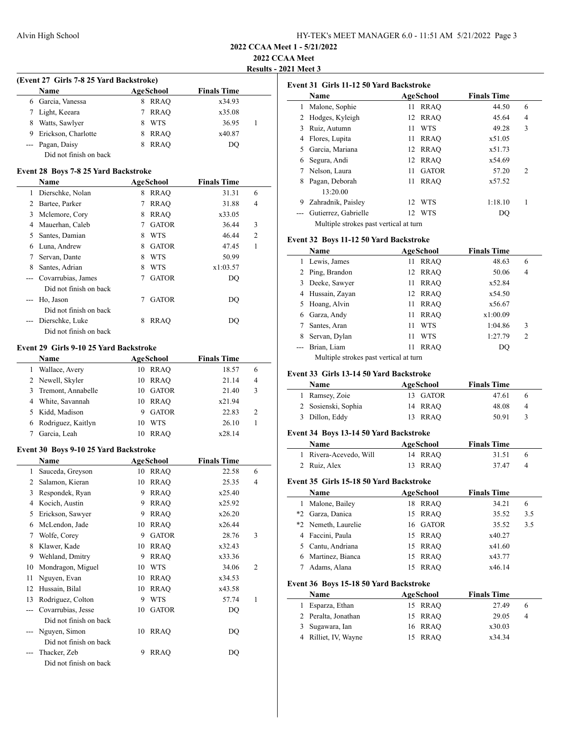**2022 CCAA Meet**

 $\overline{a}$ 

 $\frac{1}{2}$ 

**Results - 2021 Meet 3**

# **(Event 27 Girls 7-8 25 Yard Backstroke)**

| <b>Name</b> |                        | AgeSchool |             | <b>Finals Time</b> |  |
|-------------|------------------------|-----------|-------------|--------------------|--|
|             | 6 Garcia, Vanessa      | 8         | RRAO        | x34.93             |  |
|             | Light, Keeara          |           | <b>RRAO</b> | x35.08             |  |
| 8           | Watts, Sawlyer         |           | WTS         | 36.95              |  |
|             | Erickson, Charlotte    |           | <b>RRAO</b> | x40.87             |  |
|             | --- Pagan, Daisy       |           | <b>RRAO</b> | DO                 |  |
|             | Did not finish on back |           |             |                    |  |

#### **Event 28 Boys 7-8 25 Yard Backstroke**

|   | Name                   |   | AgeSchool    | <b>Finals Time</b> |   |
|---|------------------------|---|--------------|--------------------|---|
| 1 | Dierschke, Nolan       | 8 | <b>RRAO</b>  | 31.31              | 6 |
| 2 | Bartee, Parker         | 7 | <b>RRAO</b>  | 31.88              | 4 |
| 3 | Mclemore, Cory         | 8 | <b>RRAO</b>  | x33.05             |   |
| 4 | Mauerhan, Caleb        | 7 | <b>GATOR</b> | 36.44              | 3 |
| 5 | Santes, Damian         | 8 | <b>WTS</b>   | 46.44              | 2 |
| 6 | Luna, Andrew           | 8 | <b>GATOR</b> | 47.45              | 1 |
| 7 | Servan, Dante          | 8 | <b>WTS</b>   | 50.99              |   |
| 8 | Santes, Adrian         | 8 | WTS          | x1:03.57           |   |
|   | Covarrubias, James     | 7 | <b>GATOR</b> | DO                 |   |
|   | Did not finish on back |   |              |                    |   |
|   | Ho, Jason              | 7 | <b>GATOR</b> | DO                 |   |
|   | Did not finish on back |   |              |                    |   |
|   | Dierschke, Luke        | 8 | RRAO         | DO                 |   |
|   | Did not finish on back |   |              |                    |   |

#### **Event 29 Girls 9-10 25 Yard Backstroke**

| <b>Name</b>          | AgeSchool           | <b>Finals Time</b> |                |
|----------------------|---------------------|--------------------|----------------|
| Wallace, Avery       | <b>RRAO</b><br>10   | 18.57              | 6              |
| 2 Newell, Skyler     | RRAO<br>10          | 21.14              | 4              |
| 3 Tremont, Annabelle | <b>GATOR</b><br>10. | 21.40              | 3              |
| 4 White, Savannah    | <b>RRAO</b><br>10   | x21.94             |                |
| Kidd, Madison        | <b>GATOR</b><br>9   | 22.83              | $\overline{c}$ |
| Rodriguez, Kaitlyn   | <b>WTS</b><br>10    | 26.10              |                |
| Garcia, Leah         | <b>RRAO</b><br>10   | x28.14             |                |

#### **Event 30 Boys 9-10 25 Yard Backstroke**

|                | Name                   |    | AgeSchool    | <b>Finals Time</b> |                |
|----------------|------------------------|----|--------------|--------------------|----------------|
| 1              | Sauceda, Greyson       | 10 | RRAQ         | 22.58              | 6              |
| 2              | Salamon, Kieran        | 10 | <b>RRAO</b>  | 25.35              | $\overline{4}$ |
| 3              | Respondek, Ryan        | 9  | <b>RRAQ</b>  | x25.40             |                |
| $\overline{4}$ | Kocich, Austin         | 9  | <b>RRAO</b>  | x25.92             |                |
| 5              | Erickson, Sawyer       | 9  | <b>RRAO</b>  | x26.20             |                |
| 6              | McLendon, Jade         | 10 | <b>RRAO</b>  | x26.44             |                |
| 7              | Wolfe, Corey           | 9  | <b>GATOR</b> | 28.76              | 3              |
| 8              | Klawer, Kade           | 10 | <b>RRAO</b>  | x32.43             |                |
| 9              | Wehland, Dmitry        | 9  | <b>RRAO</b>  | x33.36             |                |
| 10             | Mondragon, Miguel      | 10 | <b>WTS</b>   | 34.06              | $\overline{c}$ |
| 11             | Nguyen, Evan           | 10 | <b>RRAO</b>  | x34.53             |                |
| 12             | Hussain, Bilal         | 10 | <b>RRAO</b>  | x43.58             |                |
| 13             | Rodriguez, Colton      | 9  | WTS          | 57.74              | 1              |
|                | Covarrubias, Jesse     | 10 | <b>GATOR</b> | DO                 |                |
|                | Did not finish on back |    |              |                    |                |
|                | Nguyen, Simon          | 10 | <b>RRAO</b>  | DQ                 |                |
|                | Did not finish on back |    |              |                    |                |
|                | Thacker, Zeb           | 9  | <b>RRAO</b>  | DQ                 |                |
|                | Did not finish on back |    |              |                    |                |

|  | Event 31 Girls 11-12 50 Yard Backstroke |  |  |
|--|-----------------------------------------|--|--|
|--|-----------------------------------------|--|--|

|    | Name                                   |     | AgeSchool    | <b>Finals Time</b> |                |
|----|----------------------------------------|-----|--------------|--------------------|----------------|
| 1  | Malone, Sophie                         | 11  | <b>RRAO</b>  | 44.50              | 6              |
|    | Hodges, Kyleigh                        | 12  | <b>RRAO</b>  | 45.64              | 4              |
| 3  | Ruiz, Autumn                           | 11  | <b>WTS</b>   | 49.28              | 3              |
| 4  | Flores, Lupita                         | 11  | <b>RRAO</b>  | x51.05             |                |
| 5. | Garcia, Mariana                        | 12  | <b>RRAO</b>  | x51.73             |                |
| 6  | Segura, Andi                           | 12  | <b>RRAO</b>  | x54.69             |                |
|    | Nelson, Laura                          | 11  | <b>GATOR</b> | 57.20              | $\overline{2}$ |
|    | Pagan, Deborah                         | 11  | <b>RRAO</b>  | x57.52             |                |
|    | 13:20.00                               |     |              |                    |                |
| 9  | Zahradnik, Paisley                     | 12. | <b>WTS</b>   | 1:18.10            |                |
|    | Gutierrez, Gabrielle                   |     | 12 WTS       | DO                 |                |
|    | Multiple strokes past vertical at turn |     |              |                    |                |

#### **Event 32 Boys 11-12 50 Yard Backstroke**

|    | <b>Name</b>                            |    | AgeSchool   | <b>Finals Time</b> |   |  |
|----|----------------------------------------|----|-------------|--------------------|---|--|
| 1  | Lewis, James                           | 11 | <b>RRAO</b> | 48.63              | 6 |  |
| 2  | Ping, Brandon                          | 12 | RRAO        | 50.06              | 4 |  |
| 3  | Deeke, Sawyer                          | 11 | <b>RRAO</b> | x52.84             |   |  |
| 4  | Hussain, Zayan                         |    | 12 RRAO     | x54.50             |   |  |
| 5. | Hoang, Alvin                           | 11 | <b>RRAO</b> | x56.67             |   |  |
| 6  | Garza, Andy                            | 11 | <b>RRAO</b> | x1:00.09           |   |  |
|    | Santes, Aran                           | 11 | <b>WTS</b>  | 1:04.86            | 3 |  |
| 8  | Servan, Dylan                          | 11 | WTS         | 1:27.79            | 2 |  |
|    | Brian, Liam                            | 11 | <b>RRAO</b> | DO                 |   |  |
|    | Multiple strokes past vertical at turn |    |             |                    |   |  |

# **Event 33 Girls 13-14 50 Yard Backstroke**

| Name                | AgeSchool | <b>Finals Time</b> |               |
|---------------------|-----------|--------------------|---------------|
| 1 Ramsey, Zoie      | 13 GATOR  | 47.61              | $\theta$      |
| 2 Sosienski, Sophia | 14 RRAO   | 48.08              | 4             |
| 3 Dillon, Eddy      | 13 RRAO   | 50.91              | $\mathcal{R}$ |

# **Event 34 Boys 13-14 50 Yard Backstroke**

| <b>Name</b>            | AgeSchool | <b>Finals Time</b> |
|------------------------|-----------|--------------------|
| 1 Rivera-Acevedo, Will | 14 RRAO   | 31.51              |
| 2 Ruiz, Alex           | 13 RRAO   | 37.47<br>4         |

#### **Event 35 Girls 15-18 50 Yard Backstroke**

|      | Name                                   |    | AgeSchool        | <b>Finals Time</b> |                |
|------|----------------------------------------|----|------------------|--------------------|----------------|
| L    | Malone, Bailey                         | 18 | RRAO             | 34.21              | 6              |
| $*2$ | Garza, Danica                          | 15 | <b>RRAO</b>      | 35.52              | 3.5            |
|      | *2 Nemeth, Laurelie                    |    | 16 GATOR         | 35.52              | 3.5            |
| 4    | Faccini, Paula                         |    | 15 RRAO          | x40.27             |                |
| 5.   | Cantu, Andriana                        | 15 | <b>RRAO</b>      | x41.60             |                |
| 6    | Martinez, Bianca                       | 15 | <b>RRAO</b>      | x43.77             |                |
| 7    | Adams, Alana                           | 15 | <b>RRAO</b>      | x46.14             |                |
|      | Event 36 Boys 15-18 50 Yard Backstroke |    |                  |                    |                |
|      | Name                                   |    | <b>AgeSchool</b> | <b>Finals Time</b> |                |
| 1    | Esparza, Ethan                         |    | 15 RRAO          | 27.49              | 6              |
| 2    | Peralta, Jonathan                      | 15 | <b>RRAO</b>      | 29.05              | $\overline{4}$ |
| 3    | Sugawara, Ian                          |    | 16 RRAO          | x30.03             |                |
| 4    | Rilliet, IV, Wayne                     | 15 | <b>RRAO</b>      | x34.34             |                |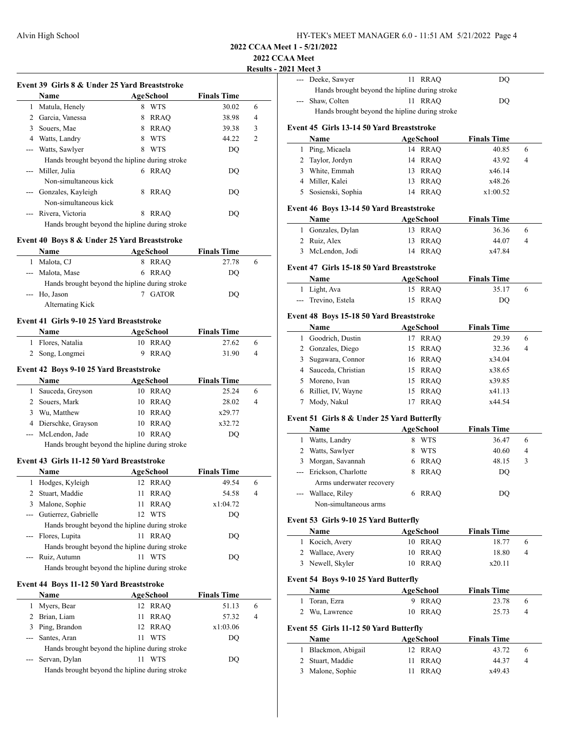| HY-TEK's MEET MANAGER 6.0 - 11:51 AM 5/21/2022 Page 4 |  |
|-------------------------------------------------------|--|
|-------------------------------------------------------|--|

### **2022 CCAA Meet**

# **Results - 2021 Meet 3**

 $\overline{a}$ 

 $\overline{a}$ 

| Event 39 Girls 8 & Under 25 Yard Breaststroke<br><b>Finals Time</b><br>Name<br>AgeSchool |                                                |   |             |       |                |
|------------------------------------------------------------------------------------------|------------------------------------------------|---|-------------|-------|----------------|
| 1                                                                                        | Matula, Henely                                 | 8 | WTS         | 30.02 | 6              |
| 2                                                                                        | Garcia, Vanessa                                | 8 | <b>RRAO</b> | 38.98 | 4              |
| 3                                                                                        | Souers, Mae                                    | 8 | <b>RRAO</b> | 39.38 | 3              |
| 4                                                                                        | Watts, Landry                                  | 8 | <b>WTS</b>  | 44.22 | $\overline{c}$ |
|                                                                                          | Watts, Sawlyer                                 | 8 | <b>WTS</b>  | DO    |                |
|                                                                                          | Hands brought beyond the hipline during stroke |   |             |       |                |
|                                                                                          | Miller, Julia                                  | 6 | RRAO        | DO    |                |
|                                                                                          | Non-simultaneous kick                          |   |             |       |                |
|                                                                                          | Gonzales, Kayleigh                             | 8 | <b>RRAO</b> | DO    |                |
|                                                                                          | Non-simultaneous kick                          |   |             |       |                |
|                                                                                          | Rivera, Victoria                               | 8 | <b>RRAO</b> | DO    |                |
|                                                                                          | Hands brought beyond the hipline during stroke |   |             |       |                |

#### **Event 40 Boys 8 & Under 25 Yard Breaststroke**

|                                                                                                                                                                                                                                                                                                                                                                                                                                                                            | <b>Name</b>      |    | AgeSchool    | <b>Finals Time</b> |   |  |
|----------------------------------------------------------------------------------------------------------------------------------------------------------------------------------------------------------------------------------------------------------------------------------------------------------------------------------------------------------------------------------------------------------------------------------------------------------------------------|------------------|----|--------------|--------------------|---|--|
|                                                                                                                                                                                                                                                                                                                                                                                                                                                                            | Malota, CJ       | 8. | RRAO         | 27.78              | h |  |
| $\frac{1}{2} \left( \frac{1}{2} \right) \left( \frac{1}{2} \right) \left( \frac{1}{2} \right) \left( \frac{1}{2} \right) \left( \frac{1}{2} \right) \left( \frac{1}{2} \right) \left( \frac{1}{2} \right) \left( \frac{1}{2} \right) \left( \frac{1}{2} \right) \left( \frac{1}{2} \right) \left( \frac{1}{2} \right) \left( \frac{1}{2} \right) \left( \frac{1}{2} \right) \left( \frac{1}{2} \right) \left( \frac{1}{2} \right) \left( \frac{1}{2} \right) \left( \frac$ | Malota, Mase     |    | 6 RRAO       | DO                 |   |  |
| Hands brought beyond the hipline during stroke                                                                                                                                                                                                                                                                                                                                                                                                                             |                  |    |              |                    |   |  |
|                                                                                                                                                                                                                                                                                                                                                                                                                                                                            | --- Ho, Jason    |    | <b>GATOR</b> | DO                 |   |  |
|                                                                                                                                                                                                                                                                                                                                                                                                                                                                            | Alternating Kick |    |              |                    |   |  |

#### **Event 41 Girls 9-10 25 Yard Breaststroke**

| <b>Name</b>       | AgeSchool | <b>Finals Time</b> |
|-------------------|-----------|--------------------|
| 1 Flores, Natalia | 10 RRAO   | 27.62<br>$\theta$  |
| 2 Song, Longmei   | 9 RRAO    | 31.90<br>4         |

#### **Event 42 Boys 9-10 25 Yard Breaststroke**

|    | <b>Name</b>                                    |    | AgeSchool | <b>Finals Time</b> |   |  |
|----|------------------------------------------------|----|-----------|--------------------|---|--|
|    | Sauceda, Greyson                               |    | 10 RRAO   | 25.24              | 6 |  |
|    | 2 Souers, Mark                                 |    | 10 RRAO   | 28.02              | 4 |  |
| 3. | Wu, Matthew                                    |    | 10 RRAO   | x29.77             |   |  |
|    | 4 Dierschke, Grayson                           |    | 10 RRAO   | x32.72             |   |  |
|    | --- McLendon, Jade                             | 10 | RRAO      | DO.                |   |  |
|    | Hands brought beyond the hipline during stroke |    |           |                    |   |  |

#### **Event 43 Girls 11-12 50 Yard Breaststroke**

|                                                | Name                                           |     | AgeSchool  | <b>Finals Time</b> |   |
|------------------------------------------------|------------------------------------------------|-----|------------|--------------------|---|
| T.                                             | Hodges, Kyleigh                                |     | 12 RRAO    | 49.54              | 6 |
|                                                | 2 Stuart, Maddie                               | 11  | RRAO       | 54.58              | 4 |
| 3                                              | Malone, Sophie                                 | 11  | RRAO       | x1:04.72           |   |
|                                                | Gutierrez, Gabrielle                           | 12. | <b>WTS</b> | DO                 |   |
|                                                | Hands brought beyond the hipline during stroke |     |            |                    |   |
|                                                | --- Flores, Lupita                             | 11  | RRAO       | DO                 |   |
| Hands brought beyond the hipline during stroke |                                                |     |            |                    |   |
|                                                | Ruiz, Autumn                                   | 11  | <b>WTS</b> | DO)                |   |
|                                                | Hands brought beyond the hipline during stroke |     |            |                    |   |

#### **Event 44 Boys 11-12 50 Yard Breaststroke**

|          | Name                                           |    | AgeSchool   | <b>Finals Time</b> |                |  |
|----------|------------------------------------------------|----|-------------|--------------------|----------------|--|
|          | Myers, Bear                                    |    | 12 RRAO     | 51.13              | 6              |  |
|          | 2 Brian, Liam                                  | 11 | <b>RRAO</b> | 57.32              | $\overline{4}$ |  |
| 3        | Ping, Brandon                                  |    | 12 RRAO     | x1:03.06           |                |  |
| $\cdots$ | Santes, Aran                                   | 11 | WTS         | DO                 |                |  |
|          | Hands brought beyond the hipline during stroke |    |             |                    |                |  |
|          | --- Servan, Dylan                              |    | WTS         | DO                 |                |  |
|          | Hands brought beyond the hipline during stroke |    |             |                    |                |  |

| 1.3333 |                                                |         |    |
|--------|------------------------------------------------|---------|----|
|        | --- Deeke, Sawyer                              | 11 RRAO | DO |
|        | Hands brought beyond the hipline during stroke |         |    |
|        | Shaw, Colten                                   | 11 RRAO | DO |
|        | Hands brought beyond the hipline during stroke |         |    |
|        |                                                |         |    |

# **Event 45 Girls 13-14 50 Yard Breaststroke**

| <b>Name</b>         | AgeSchool  | <b>Finals Time</b> |                |
|---------------------|------------|--------------------|----------------|
| 1 Ping, Micaela     | 14 RRAO    | 40.85              | 6              |
| 2 Taylor, Jordyn    | 14 RRAO    | 43.92              | $\overline{4}$ |
| 3 White, Emmah      | 13 RRAO    | x46.14             |                |
| 4 Miller, Kalei     | 13 RRAO    | x48.26             |                |
| 5 Sosienski, Sophia | RRAO<br>14 | x1:00.52           |                |

#### **Event 46 Boys 13-14 50 Yard Breaststroke**

| Name              | AgeSchool | <b>Finals Time</b> |  |
|-------------------|-----------|--------------------|--|
| 1 Gonzales, Dylan | 13 RRAO   | 36.36<br>$\sigma$  |  |
| 2 Ruiz, Alex      | 13 RRAO   | 44.07<br>4         |  |
| 3 McLendon, Jodi  | 14 RRAO   | x47.84             |  |

### **Event 47 Girls 15-18 50 Yard Breaststroke**

| <b>Name</b>         | AgeSchool | <b>Finals Time</b> |  |
|---------------------|-----------|--------------------|--|
| 1 Light, Ava        | 15 RRAO   | 35.17              |  |
| --- Trevino, Estela | 15 RRAO   | DO                 |  |

# **Event 48 Boys 15-18 50 Yard Breaststroke**

|    | Name                 | AgeSchool   | <b>Finals Time</b> |
|----|----------------------|-------------|--------------------|
| 1. | Goodrich, Dustin     | <b>RRAO</b> | 29.39<br>6         |
|    | 2 Gonzales, Diego    | 15 RRAO     | 32.36<br>4         |
|    | 3 Sugawara, Connor   | 16 RRAO     | x34.04             |
|    | 4 Sauceda, Christian | RRAO<br>15  | x38.65             |
|    | 5 Moreno, Ivan       | 15 RRAO     | x39.85             |
|    | 6 Rilliet, IV, Wayne | 15 RRAO     | x41.13             |
|    | Mody, Nakul          | <b>RRAO</b> | x44.54             |

### **Event 51 Girls 8 & Under 25 Yard Butterfly**

|   | <b>Name</b>              |   | <b>AgeSchool</b> | <b>Finals Time</b> |   |  |
|---|--------------------------|---|------------------|--------------------|---|--|
|   | Watts, Landry            |   | <b>WTS</b>       | 36.47              | 6 |  |
|   | Watts, Sawlyer           |   | <b>WTS</b>       | 40.60              | 4 |  |
| 3 | Morgan, Savannah         | 6 | <b>RRAO</b>      | 48.15              | 3 |  |
|   | --- Erickson, Charlotte  | 8 | <b>RRAO</b>      | DO                 |   |  |
|   | Arms underwater recovery |   |                  |                    |   |  |
|   | Wallace, Riley           |   | RRAO             | DO                 |   |  |
|   | Non-simultaneous arms    |   |                  |                    |   |  |

# **Event 53 Girls 9-10 25 Yard Butterfly**

| Name             | AgeSchool | <b>Finals Time</b> |
|------------------|-----------|--------------------|
| 1 Kocich, Avery  | 10 RRAO   | 18.77<br>h         |
| 2 Wallace, Avery | 10 RRAO   | 18.80<br>4         |
| 3 Newell, Skyler | 10 RRAO   | x20.11             |

# **Event 54 Boys 9-10 25 Yard Butterfly**

| Name                                           | AgeSchool | <b>Finals Time</b> |                |
|------------------------------------------------|-----------|--------------------|----------------|
| 1 Toran, Ezra                                  | 9 RRAO    | 23.78              | 6              |
| 2 Wu, Lawrence                                 | 10 RRAO   | 25.73              | $\overline{4}$ |
| Event 55 Girls 11-12 50 Yard Butterfly<br>Name | AgeSchool | <b>Finals Time</b> |                |

| <b>Name</b>         | AgeSchool | <b>Finals Time</b> |  |
|---------------------|-----------|--------------------|--|
| 1 Blackmon, Abigail | 12 RRAO   | 43.72<br>6         |  |
| 2 Stuart, Maddie    | 11 RRAO   | 44.37<br>4         |  |
| 3 Malone, Sophie    | 11 RRAO   | x49.43             |  |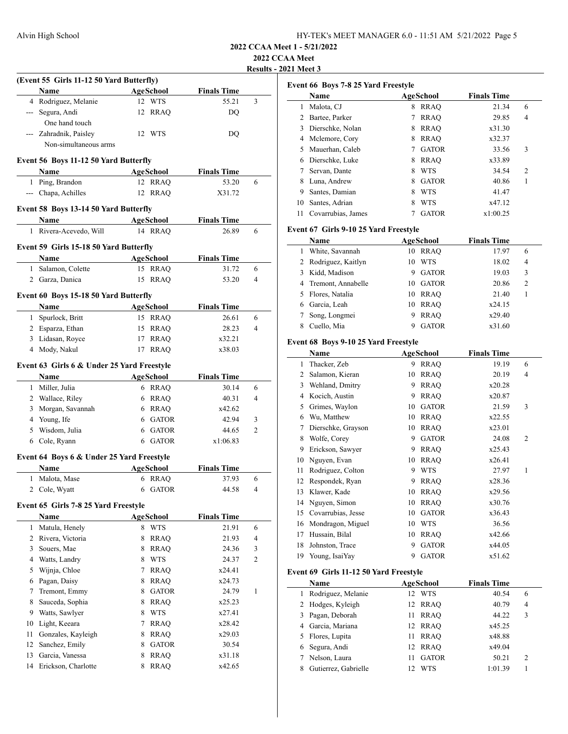| HY-TEK's MEET MANAGER 6.0 - 11:51 AM 5/21/2022 Page 5 |  |  |
|-------------------------------------------------------|--|--|
|-------------------------------------------------------|--|--|

**2022 CCAA Meet**

**Results - 2021 Meet 3**

|                |                                                   |   |                  |                    | results |
|----------------|---------------------------------------------------|---|------------------|--------------------|---------|
|                | (Event 55 Girls 11-12 50 Yard Butterfly)          |   |                  |                    |         |
|                | Name                                              |   | AgeSchool        | <b>Finals Time</b> |         |
|                | 4 Rodriguez, Melanie                              |   | 12 WTS           | 55.21              | 3       |
|                | --- Segura, Andi                                  |   | 12 RRAQ          | DO                 |         |
|                | One hand touch                                    |   |                  |                    |         |
|                | --- Zahradnik, Paisley                            |   | 12 WTS           | DQ                 |         |
|                | Non-simultaneous arms                             |   |                  |                    |         |
|                | Event 56 Boys 11-12 50 Yard Butterfly             |   |                  |                    |         |
|                | Name                                              |   | <b>AgeSchool</b> | <b>Finals Time</b> |         |
|                | 1 Ping, Brandon                                   |   | 12 RRAQ          | 53.20              | 6       |
|                | --- Chapa, Achilles                               |   | 12 RRAO          | X31.72             |         |
|                |                                                   |   |                  |                    |         |
|                | Event 58 Boys 13-14 50 Yard Butterfly             |   |                  |                    |         |
|                | Name                                              |   | AgeSchool        | <b>Finals Time</b> |         |
|                | 1 Rivera-Acevedo, Will                            |   | 14 RRAO          | 26.89              | 6       |
|                | Event 59 Girls 15-18 50 Yard Butterfly            |   |                  |                    |         |
|                | Name                                              |   | <b>AgeSchool</b> | <b>Finals Time</b> |         |
|                | 1 Salamon, Colette                                |   | 15 RRAQ          | 31.72              | 6       |
|                | 2 Garza, Danica                                   |   | 15 RRAQ          | 53.20              | 4       |
|                |                                                   |   |                  |                    |         |
|                | Event 60 Boys 15-18 50 Yard Butterfly             |   |                  |                    |         |
|                | Name                                              |   | <b>AgeSchool</b> | <b>Finals Time</b> |         |
|                | 1 Spurlock, Britt                                 |   | 15 RRAQ          | 26.61              | 6       |
|                | 2 Esparza, Ethan                                  |   | 15 RRAQ          | 28.23              | 4       |
|                | 3 Lidasan, Royce                                  |   | 17 RRAQ          | x32.21             |         |
|                | 4 Mody, Nakul                                     |   | 17 RRAQ          | x38.03             |         |
|                | Event 63 Girls 6 & Under 25 Yard Freestyle        |   |                  |                    |         |
|                | Name                                              |   | AgeSchool        | <b>Finals Time</b> |         |
|                | 1 Miller, Julia                                   |   | 6 RRAQ           | 30.14              | 6       |
|                | 2 Wallace, Riley                                  |   | 6 RRAQ           | 40.31              | 4       |
|                | 3 Morgan, Savannah                                |   | 6 RRAQ           | x42.62             |         |
|                | 4 Young, Ife                                      |   | 6 GATOR          | 42.94              | 3       |
|                | 5 Wisdom, Julia                                   |   | 6 GATOR          | 44.65              | 2       |
|                | 6 Cole, Ryann                                     |   | 6 GATOR          | x1:06.83           |         |
|                |                                                   |   |                  |                    |         |
|                | Event 64 Boys 6 & Under 25 Yard Freestyle<br>Name |   | AgeSchool        | <b>Finals Time</b> |         |
|                | 1 Malota, Mase                                    |   | 6 RRAO           | 37.93              | 6       |
|                | 2 Cole, Wyatt                                     |   | 6 GATOR          | 44.58              | 4       |
|                |                                                   |   |                  |                    |         |
|                | Event 65 Girls 7-8 25 Yard Freestyle              |   |                  |                    |         |
|                | Name                                              |   | <b>AgeSchool</b> | <b>Finals Time</b> |         |
| 1              | Matula, Henely                                    |   | 8 WTS            | 21.91              | 6       |
| $\overline{2}$ | Rivera, Victoria                                  | 8 | <b>RRAQ</b>      | 21.93              | 4       |
| 3              | Souers, Mae                                       | 8 | <b>RRAQ</b>      | 24.36              | 3       |
|                | 4 Watts, Landry                                   | 8 | <b>WTS</b>       | 24.37              | 2       |
| 5              | Wijnja, Chloe                                     | 7 | <b>RRAQ</b>      | x24.41             |         |
| 6              | Pagan, Daisy                                      | 8 | <b>RRAQ</b>      | x24.73             |         |
| 7              | Tremont, Emmy                                     |   | 8 GATOR          | 24.79              | 1       |
| 8              | Sauceda, Sophia                                   |   | 8 RRAQ           | x25.23             |         |
| 9              | Watts, Sawlyer                                    | 8 | <b>WTS</b>       | x27.41             |         |
| 10             | Light, Keeara                                     | 7 | RRAQ             | x28.42             |         |
| 11             | Gonzales, Kayleigh                                | 8 | <b>RRAQ</b>      | x29.03             |         |
| 12             | Sanchez, Emily                                    | 8 | <b>GATOR</b>     | 30.54              |         |
| 13             | Garcia, Vanessa                                   | 8 | <b>RRAQ</b>      | x31.18             |         |
| 14             | Erickson, Charlotte                               | 8 | <b>RRAQ</b>      | x42.65             |         |

| Event 66 Boys 7-8 25 Yard Freestyle |                                               |                 |                           |                    |        |  |
|-------------------------------------|-----------------------------------------------|-----------------|---------------------------|--------------------|--------|--|
|                                     | Name                                          |                 | AgeSchool                 | <b>Finals Time</b> |        |  |
| 1                                   | Malota, CJ                                    |                 | 8 RRAQ                    | 21.34              | 6      |  |
|                                     | 2 Bartee, Parker                              | 7               | <b>RRAQ</b>               | 29.85              | 4      |  |
|                                     | 3 Dierschke, Nolan                            |                 | 8 RRAQ                    | x31.30             |        |  |
|                                     | 4 Mclemore, Cory                              |                 | 8 RRAQ                    | x32.37             |        |  |
|                                     | 5 Mauerhan, Caleb                             |                 | 7 GATOR                   | 33.56              | 3      |  |
|                                     | 6 Dierschke, Luke                             |                 | 8 RRAQ                    | x33.89             |        |  |
| 7                                   | Servan, Dante                                 | 8               | <b>WTS</b>                | 34.54              | 2      |  |
| 8                                   | Luna, Andrew                                  | 8               | <b>GATOR</b>              | 40.86              | 1      |  |
|                                     | 9 Santes, Damian                              |                 | 8 WTS                     | 41.47              |        |  |
|                                     | 10 Santes, Adrian                             | 8               | <b>WTS</b>                | x47.12             |        |  |
| 11                                  | Covarrubias, James                            | $7\phantom{.0}$ | <b>GATOR</b>              | x1:00.25           |        |  |
|                                     |                                               |                 |                           |                    |        |  |
|                                     | Event 67 Girls 9-10 25 Yard Freestyle<br>Name |                 |                           |                    |        |  |
| 1                                   | White, Savannah                               | 10              | AgeSchool                 | <b>Finals Time</b> | 6      |  |
| 2                                   |                                               | 10              | <b>RRAQ</b>               | 17.97              | 4      |  |
|                                     | Rodriguez, Kaitlyn                            |                 | <b>WTS</b>                | 18.02              |        |  |
|                                     | 3 Kidd, Madison                               | 9.              | <b>GATOR</b><br>10 GATOR  | 19.03              | 3      |  |
|                                     | 4 Tremont, Annabelle                          |                 |                           | 20.86              | 2      |  |
|                                     | 5 Flores, Natalia                             |                 | 10 RRAO                   | 21.40              | 1      |  |
|                                     | 6 Garcia, Leah                                |                 | 10 RRAQ                   | x24.15             |        |  |
| 7                                   | Song, Longmei                                 | 9               | <b>RRAQ</b>               | x29.40             |        |  |
| 8                                   | Cuello, Mia                                   | 9               | <b>GATOR</b>              | x31.60             |        |  |
|                                     | Event 68 Boys 9-10 25 Yard Freestyle          |                 |                           |                    |        |  |
|                                     |                                               |                 |                           |                    |        |  |
|                                     | Name                                          | AgeSchool       |                           | <b>Finals Time</b> |        |  |
| 1                                   | Thacker, Zeb                                  |                 | 9 RRAQ                    | 19.19              | 6      |  |
|                                     | 2 Salamon, Kieran                             | 10              | <b>RRAQ</b>               | 20.19              | 4      |  |
|                                     | 3 Wehland, Dmitry                             | 9.              | <b>RRAQ</b>               | x20.28             |        |  |
|                                     | 4 Kocich, Austin                              | 9               | <b>RRAQ</b>               | x20.87             |        |  |
|                                     | 5 Grimes, Waylon                              |                 | 10 GATOR                  | 21.59              | 3      |  |
|                                     | 6 Wu, Matthew                                 |                 | 10 RRAQ                   | x22.55             |        |  |
| 7                                   | Dierschke, Grayson                            |                 | 10 RRAQ                   | x23.01             |        |  |
| 8                                   | Wolfe, Corey                                  | 9               | <b>GATOR</b>              | 24.08              | 2      |  |
| 9                                   | Erickson, Sawyer                              |                 | 9 RRAQ                    | x25.43             |        |  |
| 10                                  | Nguyen, Evan                                  | 10              | <b>RRAQ</b>               | x26.41             |        |  |
| 11                                  | Rodriguez, Colton                             | 9               | <b>WTS</b>                | 27.97              | 1      |  |
| 12                                  | Respondek, Ryan                               | 9.              | <b>RRAQ</b>               | x28.36             |        |  |
|                                     | 13 Klawer, Kade                               | 10              | <b>RRAO</b>               | x29.56             |        |  |
| 14                                  | Nguyen, Simon                                 | 10              | <b>RRAQ</b>               | x30.76             |        |  |
| 15                                  | Covarrubias, Jesse                            | 10              | <b>GATOR</b>              | x36.43             |        |  |
| 16                                  | Mondragon, Miguel                             | 10              | <b>WTS</b>                | 36.56              |        |  |
| 17                                  | Hussain, Bilal                                | 10              | <b>RRAQ</b>               | x42.66             |        |  |
| 18                                  | Johnston, Trace                               | 9               | <b>GATOR</b>              | x44.05             |        |  |
| 19                                  | Young, IsaiYay                                | 9               | <b>GATOR</b>              | x51.62             |        |  |
|                                     |                                               |                 |                           |                    |        |  |
|                                     | Event 69 Girls 11-12 50 Yard Freestyle        |                 |                           |                    |        |  |
|                                     | Name                                          |                 | <b>AgeSchool</b>          | <b>Finals Time</b> |        |  |
| 1<br>$\overline{2}$                 | Rodriguez, Melanie<br>Hodges, Kyleigh         | 12<br>12        | <b>WTS</b><br><b>RRAQ</b> | 40.54<br>40.79     | 6<br>4 |  |

| 1 Rodriguez, Melanie |    | 12 WTS       | 40.54   | 6             |  |
|----------------------|----|--------------|---------|---------------|--|
| 2 Hodges, Kyleigh    |    | 12 RRAO      | 40.79   | 4             |  |
| 3 Pagan, Deborah     | 11 | <b>RRAO</b>  | 44.22   | 3             |  |
| 4 Garcia, Mariana    |    | 12 RRAO      | x45.25  |               |  |
| 5 Flores, Lupita     | 11 | <b>RRAO</b>  | x48.88  |               |  |
| 6 Segura, Andi       |    | 12 RRAO      | x49.04  |               |  |
| Nelson, Laura        | 11 | <b>GATOR</b> | 50.21   | $\mathcal{L}$ |  |
| Gutierrez, Gabrielle |    | WTS          | 1:01.39 |               |  |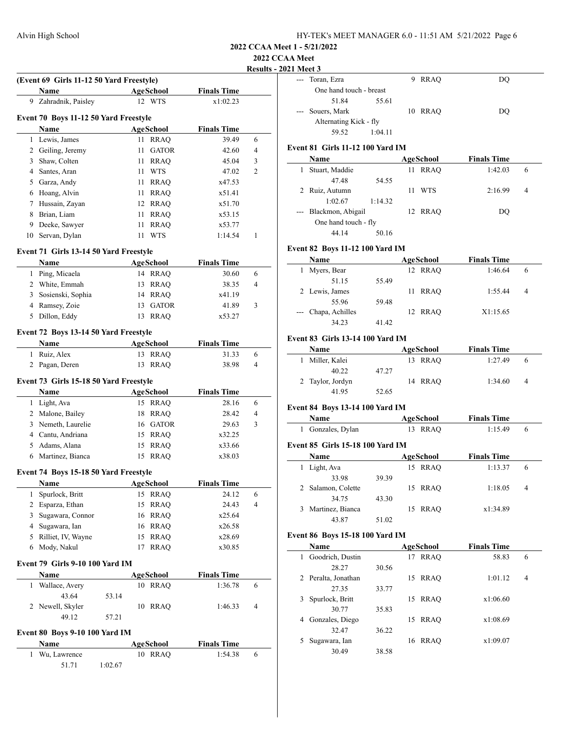# **2022 CCAA Meet**

# **Results - 2021 Meet 3**

|    | (Event 69 Girls 11-12 50 Yard Freestyle) |         |                             |                    | <b>Results -</b> |
|----|------------------------------------------|---------|-----------------------------|--------------------|------------------|
|    | Name                                     |         | AgeSchool                   | <b>Finals Time</b> |                  |
| 9. | Zahradnik, Paisley                       |         | 12 WTS                      | x1:02.23           |                  |
|    |                                          |         |                             |                    |                  |
|    | Event 70 Boys 11-12 50 Yard Freestyle    |         |                             |                    |                  |
|    | Name                                     |         | <b>AgeSchool</b>            | <b>Finals Time</b> |                  |
|    | 1 Lewis, James                           |         | 11<br><b>RRAQ</b>           | 39.49              | 6                |
|    | 2 Geiling, Jeremy                        |         | 11<br><b>GATOR</b>          | 42.60              | 4                |
|    | 3 Shaw, Colten                           |         | 11<br><b>RRAQ</b>           | 45.04              | 3                |
|    | 4 Santes, Aran                           |         | 11 WTS                      | 47.02              | 2                |
|    | 5 Garza, Andy                            |         | 11 RRAQ                     | x47.53             |                  |
|    | 6 Hoang, Alvin                           |         | 11 RRAQ                     | x51.41             |                  |
|    | 7 Hussain, Zayan                         |         | 12 RRAQ                     | x51.70             |                  |
|    | 8 Brian, Liam                            |         | 11 RRAQ                     | x53.15             |                  |
|    | 9 Deeke, Sawyer                          |         | <b>RRAQ</b><br>11           | x53.77             |                  |
|    | 10 Servan, Dylan                         |         | <b>WTS</b><br>11            | 1:14.54            | 1                |
|    | Event 71 Girls 13-14 50 Yard Freestyle   |         |                             |                    |                  |
|    | Name                                     |         | AgeSchool                   | <b>Finals Time</b> |                  |
|    | 1 Ping, Micaela                          |         | 14 RRAQ                     | 30.60              | 6                |
|    | 2 White, Emmah                           |         | 13 RRAQ                     | 38.35              | 4                |
|    | 3 Sosienski, Sophia                      |         | 14 RRAQ                     | x41.19             |                  |
|    | 4 Ramsey, Zoie                           |         | GATOR<br>13                 | 41.89              | 3                |
| 5  | Dillon, Eddy                             |         | <b>RRAQ</b><br>13           | x53.27             |                  |
|    |                                          |         |                             |                    |                  |
|    | Event 72 Boys 13-14 50 Yard Freestyle    |         |                             |                    |                  |
|    | Name                                     |         | AgeSchool                   | <b>Finals Time</b> |                  |
|    | 1 Ruiz, Alex                             |         | 13 RRAQ                     | 31.33              | 6                |
|    | 2 Pagan, Deren                           |         | <b>RRAQ</b><br>13           | 38.98              | 4                |
|    | Event 73 Girls 15-18 50 Yard Freestyle   |         |                             |                    |                  |
|    | Name                                     |         | AgeSchool                   | <b>Finals Time</b> |                  |
|    | 1 Light, Ava                             |         | 15 RRAQ                     | 28.16              | 6                |
|    | 2 Malone, Bailey                         |         | 18 RRAQ                     | 28.42              | 4                |
|    | 3 Nemeth, Laurelie                       |         | 16 GATOR                    | 29.63              | 3                |
|    | 4 Cantu, Andriana                        |         | 15 RRAO                     | x32.25             |                  |
|    | 5 Adams, Alana                           |         | 15<br><b>RRAO</b>           | x33.66             |                  |
|    | 6 Martinez, Bianca                       |         | <b>RRAQ</b><br>15           | x38.03             |                  |
|    | Event 74 Boys 15-18 50 Yard Freestyle    |         |                             |                    |                  |
|    |                                          |         |                             | <b>Finals Time</b> |                  |
| 1  | <b>Name</b><br>Spurlock, Britt           |         | <b>AgeSchool</b><br>15 RRAQ | 24.12              | 6                |
|    | 2 Esparza, Ethan                         |         | 15 RRAQ                     | 24.43              | 4                |
|    | 3 Sugawara, Connor                       |         | 16 RRAQ                     | x25.64             |                  |
|    |                                          |         |                             |                    |                  |
|    | 4 Sugawara, Ian                          |         | 16 RRAQ                     | x26.58             |                  |
|    | 5 Rilliet, IV, Wayne                     |         | <b>RRAQ</b><br>15           | x28.69             |                  |
| 6  | Mody, Nakul                              |         | <b>RRAQ</b><br>17           | x30.85             |                  |
|    | Event 79 Girls 9-10 100 Yard IM          |         |                             |                    |                  |
|    | Name                                     |         | AgeSchool                   | <b>Finals Time</b> |                  |
| 1  | Wallace, Avery                           |         | 10 RRAO                     | 1:36.78            | 6                |
|    | 43.64                                    | 53.14   |                             |                    |                  |
|    | 2 Newell, Skyler                         |         | <b>RRAQ</b><br>10           | 1:46.33            | 4                |
|    | 49.12                                    | 57.21   |                             |                    |                  |
|    | Event 80 Boys 9-10 100 Yard IM           |         |                             |                    |                  |
|    | Name                                     |         | AgeSchool                   | <b>Finals Time</b> |                  |
|    | 1 Wu, Lawrence                           |         | 10 RRAQ                     | 1:54.38            | 6                |
|    | 51.71                                    | 1:02.67 |                             |                    |                  |
|    |                                          |         |                             |                    |                  |

|                     | е власт с               |         |         |    |  |
|---------------------|-------------------------|---------|---------|----|--|
| $---$               | Toran, Ezra             |         | 9 RRAO  | DO |  |
|                     | One hand touch - breast |         |         |    |  |
|                     | 51.84                   | 55.61   |         |    |  |
| $\qquad \qquad - -$ | Souers, Mark            |         | 10 RRAO | DO |  |
|                     | Alternating Kick - fly  |         |         |    |  |
|                     | 59.52                   | 1:04.11 |         |    |  |

# **Event 81 Girls 11-12 100 Yard IM**

| Name                  |         |    | AgeSchool  | <b>Finals Time</b> |   |
|-----------------------|---------|----|------------|--------------------|---|
| Stuart, Maddie        |         | 11 | RRAO       | 1:42.03            | 6 |
| 47.48                 | 54.55   |    |            |                    |   |
| 2 Ruiz, Autumn        |         | 11 | <b>WTS</b> | 2:16.99            | 4 |
| 1:02.67               | 1:14.32 |    |            |                    |   |
| --- Blackmon, Abigail |         |    | 12 RRAO    | DO                 |   |
| One hand touch - fly  |         |    |            |                    |   |
| 44.14                 | 50.16   |    |            |                    |   |

# **Event 82 Boys 11-12 100 Yard IM**

|                   | <b>Name</b>         |       | AgeSchool  | <b>Finals Time</b> |   |
|-------------------|---------------------|-------|------------|--------------------|---|
| Myers, Bear<br>1. |                     |       | 12 RRAO    | 1:46.64            | 6 |
|                   | 51.15               | 55.49 |            |                    |   |
|                   | 2 Lewis, James      |       | RRAO<br>11 | 1:55.44            | 4 |
|                   | 55.96               | 59.48 |            |                    |   |
|                   | --- Chapa, Achilles |       | 12 RRAO    | X1:15.65           |   |
|                   | 34.23               | 41.42 |            |                    |   |

#### **Event 83 Girls 13-14 100 Yard IM**

| <b>Name</b>      |       | AgeSchool   | <b>Finals Time</b> |   |
|------------------|-------|-------------|--------------------|---|
| Miller, Kalei    |       | RRAO<br>13. | 1:27.49            |   |
| 40.22            | 47.27 |             |                    |   |
| 2 Taylor, Jordyn |       | 14 RRAO     | 1:34.60            | 4 |
| 41.95            | 52.65 |             |                    |   |

# **Event 84 Boys 13-14 100 Yard IM**

| <b>Name</b>       | AgeSchool | <b>Finals Time</b> |  |
|-------------------|-----------|--------------------|--|
| 1 Gonzales, Dylan | 13 RRAO   | 1:15.49            |  |

#### **Event 85 Girls 15-18 100 Yard IM**

| <b>Name</b> |                    | AgeSchool | <b>Finals Time</b> |          |   |  |
|-------------|--------------------|-----------|--------------------|----------|---|--|
|             | Light, Ava         |           | 15 RRAO            | 1:13.37  | 6 |  |
|             | 33.98              | 39.39     |                    |          |   |  |
|             | 2 Salamon, Colette |           | 15 RRAO            | 1:18.05  | 4 |  |
|             | 34.75              | 43.30     |                    |          |   |  |
|             | 3 Martinez, Bianca |           | 15 RRAO            | x1:34.89 |   |  |
|             | 43.87              | 51.02     |                    |          |   |  |

# **Event 86 Boys 15-18 100 Yard IM**

| Name                  |       | <b>AgeSchool</b>  | <b>Finals Time</b> |                |  |
|-----------------------|-------|-------------------|--------------------|----------------|--|
| Goodrich, Dustin      |       | <b>RRAO</b><br>17 | 58.83              | 6              |  |
| 28.27                 | 30.56 |                   |                    |                |  |
| 2 Peralta, Jonathan   |       | <b>RRAO</b><br>15 | 1:01.12            | $\overline{4}$ |  |
| 27.35                 | 33.77 |                   |                    |                |  |
| Spurlock, Britt<br>3. |       | <b>RRAO</b><br>15 | x1:06.60           |                |  |
| 30.77                 | 35.83 |                   |                    |                |  |
| Gonzales, Diego<br>4  |       | <b>RRAO</b><br>15 | x1:08.69           |                |  |
| 32.47                 | 36.22 |                   |                    |                |  |
| Sugawara, Ian<br>5    |       | <b>RRAO</b><br>16 | x1:09.07           |                |  |
| 30.49                 | 38.58 |                   |                    |                |  |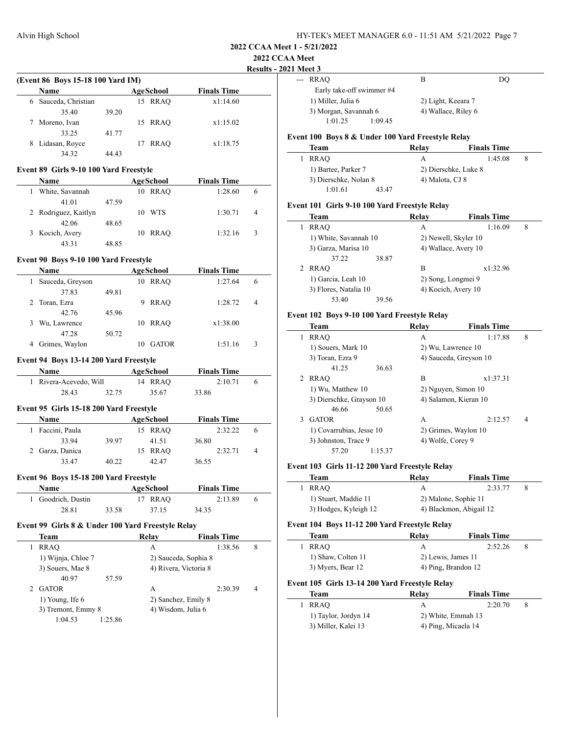# **2022 CCAA Meet Results - 2021 Meet 3**

 $\frac{1}{2}$ 

 $\overline{\phantom{a}}$ 

 $\overline{\phantom{a}}$ 

 $\overline{\phantom{a}}$ 

 $\overline{\phantom{a}}$ 

| (Event 86 Boys 15-18 100 Yard IM) |                    |       |    |           |                    |  |  |
|-----------------------------------|--------------------|-------|----|-----------|--------------------|--|--|
|                                   | <b>Name</b>        |       |    | AgeSchool | <b>Finals Time</b> |  |  |
| 6                                 | Sauceda, Christian |       | 15 | RRAO      | x1:14.60           |  |  |
|                                   | 35.40              | 39.20 |    |           |                    |  |  |
|                                   | Moreno, Ivan       |       | 15 | RRAO      | x1:15.02           |  |  |
|                                   | 33.25              | 41.77 |    |           |                    |  |  |
| 8                                 | Lidasan, Royce     |       | 17 | RRAO      | x1:18.75           |  |  |
|                                   | 34.32              | 44.43 |    |           |                    |  |  |

#### **Event 89 Girls 9-10 100 Yard Freestyle**

| Name                 |       |    | AgeSchool | <b>Finals Time</b> |   |  |
|----------------------|-------|----|-----------|--------------------|---|--|
| White, Savannah      |       | 10 | RRAO      | 1:28.60            | 6 |  |
| 41.01                | 47.59 |    |           |                    |   |  |
| 2 Rodriguez, Kaitlyn |       | 10 | WTS       | 1:30.71            | 4 |  |
| 42.06                | 48.65 |    |           |                    |   |  |
| 3 Kocich, Avery      |       | 10 | RRAO      | 1:32.16            | 3 |  |
| 43.31                | 48.85 |    |           |                    |   |  |

#### **Event 90 Boys 9-10 100 Yard Freestyle**

| <b>Name</b>      |       | AgeSchool        | <b>Finals Time</b> |   |
|------------------|-------|------------------|--------------------|---|
| Sauceda, Greyson |       | RRAO<br>10       | 1:27.64            | 6 |
| 37.83            | 49.81 |                  |                    |   |
| Toran, Ezra      |       | <b>RRAO</b><br>9 | 1:28.72            | 4 |
| 42.76            | 45.96 |                  |                    |   |
| Wu, Lawrence     |       | RRAO<br>10       | x1:38.00           |   |
| 47.28            | 50.72 |                  |                    |   |
| Grimes, Waylon   |       | <b>GATOR</b>     | 1:51.16            | 3 |

#### **Event 94 Boys 13-14 200 Yard Freestyle**

| <b>Name</b>            |       | AgeSchool | <b>Finals Time</b> |  |
|------------------------|-------|-----------|--------------------|--|
| 1 Rivera-Acevedo, Will |       | 14 RRAO   | 2:10.71            |  |
| 28.43                  | 32.75 | 35.67     | 33.86              |  |

#### **Event 95 Girls 15-18 200 Yard Freestyle**

| <b>Name</b>     |       | AgeSchool |       | <b>Finals Time</b> |   |  |
|-----------------|-------|-----------|-------|--------------------|---|--|
| Faccini, Paula  |       | 15 RRAO   |       | 2:32.22            |   |  |
| 33.94           | 39.97 | 41.51     | 36.80 |                    |   |  |
| 2 Garza, Danica |       | 15 RRAO   |       | 2:32.71            | 4 |  |
| 33.47           | 40.22 | 42.47     | 36.55 |                    |   |  |

#### **Event 96 Boys 15-18 200 Yard Freestyle**

| <b>Name</b>        |       | AgeSchool | <b>Finals Time</b> |  |
|--------------------|-------|-----------|--------------------|--|
| 1 Goodrich, Dustin |       | 17 RRAO   | 2:13.89            |  |
| 28.81              | 33.58 | 37.15     | 34.35              |  |

# **Event 99 Girls 8 & Under 100 Yard Freestyle Relay**

| Team                | Relay              | <b>Finals Time</b>    |   |
|---------------------|--------------------|-----------------------|---|
| <b>RRAO</b>         | А                  | 1:38.56               | 8 |
| 1) Wijnja, Chloe 7  |                    | 2) Sauceda, Sophia 8  |   |
| 3) Souers, Mae 8    |                    | 4) Rivera, Victoria 8 |   |
| 40.97<br>57.59      |                    |                       |   |
| <b>GATOR</b>        | А                  | 2:30.39               | 4 |
| $1)$ Young, Ife $6$ |                    | 2) Sanchez, Emily 8   |   |
| 3) Tremont, Emmy 8  | 4) Wisdom, Julia 6 |                       |   |
| 1:25.86<br>1:04.53  |                    |                       |   |

| г імест э                 |         |                     |    |
|---------------------------|---------|---------------------|----|
| --- RRAO                  |         | в                   | DO |
| Early take-off swimmer #4 |         |                     |    |
| 1) Miller, Julia 6        |         | 2) Light, Keeara 7  |    |
| 3) Morgan, Savannah 6     |         | 4) Wallace, Riley 6 |    |
| 1:01.25                   | 1:09.45 |                     |    |

### **Event 100 Boys 8 & Under 100 Yard Freestyle Relay**

| Team                |                       | Relay           | <b>Finals Time</b>   |  |
|---------------------|-----------------------|-----------------|----------------------|--|
| RRAO                |                       |                 | 1:45.08              |  |
| 1) Bartee, Parker 7 |                       |                 | 2) Dierschke, Luke 8 |  |
|                     | 3) Dierschke, Nolan 8 | 4) Malota, CJ 8 |                      |  |
| 1:01.61             | 43.47                 |                 |                      |  |

#### **Event 101 Girls 9-10 100 Yard Freestyle Relay**

| Team                  |       | Relay               | <b>Finals Time</b>   |   |
|-----------------------|-------|---------------------|----------------------|---|
| <b>RRAO</b>           |       | A                   | 1:16.09              | 8 |
| 1) White, Savannah 10 |       |                     | 2) Newell, Skyler 10 |   |
| 3) Garza, Marisa 10   |       |                     | 4) Wallace, Avery 10 |   |
| 37.22                 | 38.87 |                     |                      |   |
| RRAO                  |       | B                   | x1:32.96             |   |
| 1) Garcia, Leah 10    |       | 2) Song, Longmei 9  |                      |   |
| 3) Flores, Natalia 10 |       | 4) Kocich, Avery 10 |                      |   |
| 53.40                 | 39.56 |                     |                      |   |

#### **Event 102 Boys 9-10 100 Yard Freestyle Relay**

|   | Team                     | Relav             | <b>Finals Time</b>     |   |
|---|--------------------------|-------------------|------------------------|---|
| 1 | <b>RRAO</b>              | A                 | 1:17.88                | 8 |
|   | 1) Souers, Mark 10       |                   | 2) Wu, Lawrence 10     |   |
|   | 3) Toran, Ezra 9         |                   | 4) Sauceda, Greyson 10 |   |
|   | 41.25<br>36.63           |                   |                        |   |
|   | 2 RRAO                   | B                 | x1:37.31               |   |
|   | 1) Wu, Matthew 10        |                   | 2) Nguyen, Simon 10    |   |
|   | 3) Dierschke, Grayson 10 |                   | 4) Salamon, Kieran 10  |   |
|   | 50.65<br>46.66           |                   |                        |   |
| 3 | <b>GATOR</b>             | A                 | 2:12.57                | 4 |
|   | 1) Covarrubias, Jesse 10 |                   | 2) Grimes, Waylon 10   |   |
|   | 3) Johnston, Trace 9     | 4) Wolfe, Corey 9 |                        |   |
|   | 1:15.37<br>57.20         |                   |                        |   |

#### **Event 103 Girls 11-12 200 Yard Freestyle Relay**

| Team                  | Relav                | <b>Finals Time</b>      |  |
|-----------------------|----------------------|-------------------------|--|
| RRAO                  |                      | 2:33.77                 |  |
| 1) Stuart, Maddie 11  | 2) Malone, Sophie 11 |                         |  |
| 3) Hodges, Kyleigh 12 |                      | 4) Blackmon, Abigail 12 |  |

# **Event 104 Boys 11-12 200 Yard Freestyle Relay**

| Team               | Relav               | <b>Finals Time</b> |  |
|--------------------|---------------------|--------------------|--|
| RRAO               |                     | 2:52.26            |  |
| 1) Shaw, Colten 11 | 2) Lewis, James 11  |                    |  |
| 3) Myers, Bear 12  | 4) Ping, Brandon 12 |                    |  |

### **Event 105 Girls 13-14 200 Yard Freestyle Relay**

| Team                 | Relav               | <b>Finals Time</b> |  |
|----------------------|---------------------|--------------------|--|
| RRAO                 |                     | 2:20.70            |  |
| 1) Taylor, Jordyn 14 | 2) White, Emmah 13  |                    |  |
| 3) Miller, Kalei 13  | 4) Ping, Micaela 14 |                    |  |